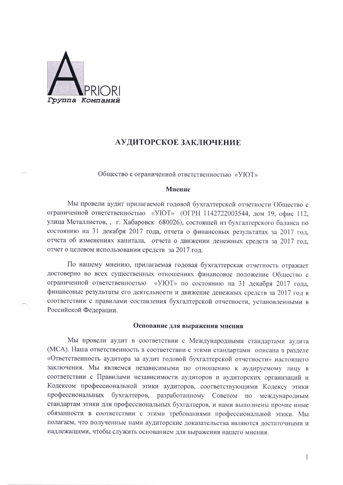

## АУДИТОРСКОЕ ЗАКЛЮЧЕНИЕ

Общество с ограниченной ответственностью «УЮТ»

### Мнение

Мы провели аудит прилагаемой годовой бухгалтерской отчетности Общество с ограниченной ответственностью «УЮТ» (ОГРН 1142722003544, дом 19, офис 112, улица Металлистов, , г. Хабаровск 680026), состоящей из бухгалтерского баланса по состоянию на 31 декабря 2017 года, отчета о финансовых результатах за 2017 год, отчета об изменениях капитала, отчета о движении денежных средств за 2017 год, отчет о целевом использовании средств за 2017 год.

По нашему мнению, прилагаемая годовая бухгалтерская отчетность отражает достоверно во всех существенных отношениях финансовое положение Общество с ограниченной ответственностью «УЮТ» по состоянию на 31 декабря 2017 года, финансовые результаты его деятельности и движение денежных средств за 2017 год в соответствии с правилами составления бухгалтерской отчетности, установленными в Российской Федерации.

#### Основание для выражения мнения

Мы провели аудит в соответствии с Международными стандартами аудита (МСА). Наша ответственность в соответствии с этими стандартами описана в разделе «Ответственность аудитора за аудит годовой бухгалтерской отчетности» настоящего заключения. Мы являемся независимыми по отношению к аудируемому лицу в соответствии с Правилами независимости аудиторов и аудиторских организаций и Кодексом профессиональной этики аудиторов, соответствующими Кодексу этики профессиональных бухгалтеров, разработанному Советом по международным стандартам этики для профессиональных бухгалтеров, и нами выполнены прочие иные обязанности в соответствии с этими требованиями профессиональной этики. Мы полагаем, что полученные нами аудиторские доказательства являются достаточными и надлежащими, чтобы служить основанием для выражения нашего мнения.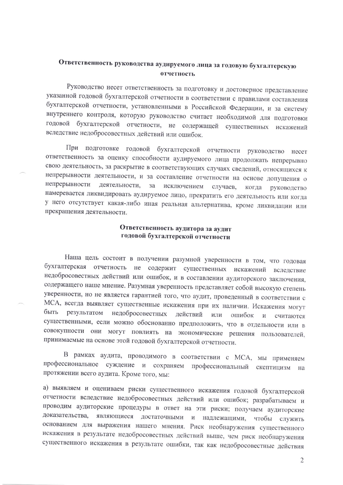# Ответственность руководства аудируемого лица за годовую бухгалтерскую отчетность

Руководство несет ответственность за подготовку и достоверное представление указанной годовой бухгалтерской отчетности в соответствии с правилами составления бухгалтерской отчетности, установленными в Российской Федерации, и за систему внутреннего контроля, которую руководство считает необходимой для подготовки годовой бухгалтерской отчетности, не содержащей существенных искажений вследствие недобросовестных действий или ошибок.

При подготовке годовой бухгалтерской отчетности руководство несет ответственность за оценку способности аудируемого лица продолжать непрерывно свою деятельность, за раскрытие в соответствующих случаях сведений, относящихся к непрерывности деятельности, и за составление отчетности на основе допущения о непрерывности деятельности,  $3a$ исключением случаев, когда руководство намеревается ликвидировать аудируемое лицо, прекратить его деятельность или когда у него отсутствует какая-либо иная реальная альтернатива, кроме ликвидации или прекращения деятельности.

## Ответственность аудитора за аудит годовой бухгалтерской отчетности

Наша цель состоит в получении разумной уверенности в том, что годовая бухгалтерская отчетность не содержит существенных искажений вследствие недобросовестных действий или ошибок, и в составлении аудиторского заключения, содержащего наше мнение. Разумная уверенность представляет собой высокую степень уверенности, но не является гарантией того, что аудит, проведенный в соответствии с МСА, всегда выявляет существенные искажения при их наличии. Искажения могут быть результатом недобросовестных действий или ошибок И считаются существенными, если можно обоснованно предположить, что в отдельности или в совокупности они могут повлиять на экономические решения пользователей, принимаемые на основе этой годовой бухгалтерской отчетности.

В рамках аудита, проводимого в соответствии с МСА, мы применяем профессиональное суждение и сохраняем профессиональный скептицизм на протяжении всего аудита. Кроме того, мы:

а) выявляем и оцениваем риски существенного искажения годовой бухгалтерской отчетности вследствие недобросовестных действий или ошибок; разрабатываем и проводим аудиторские процедуры в ответ на эти риски; получаем аудиторские являющиеся достаточными и надлежащими, чтобы доказательства, служить основанием для выражения нашего мнения. Риск необнаружения существенного искажения в результате недобросовестных действий выше, чем риск необнаружения существенного искажения в результате ошибки, так как недобросовестные действия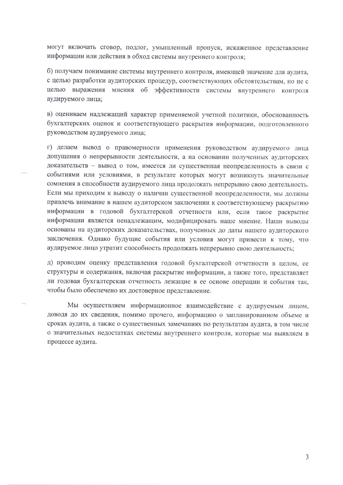могут включать сговор, подлог, умышленный пропуск, искаженное представление информации или действия в обход системы внутреннего контроля;

б) получаем понимание системы внутреннего контроля, имеющей значение для аудита, с целью разработки аудиторских процедур, соответствующих обстоятельствам, но не с целью выражения мнения об эффективности системы внутреннего контроля аудируемого лица:

в) оцениваем надлежащий характер применяемой учетной политики, обоснованность бухгалтерских оценок и соответствующего раскрытия информации, подготовленного руководством аудируемого лица;

г) делаем вывод о правомерности применения руководством аудируемого лица допущения о непрерывности деятельности, а на основании полученных аудиторских доказательств - вывод о том, имеется ли существенная неопределенность в связи с событиями или условиями, в результате которых могут возникнуть значительные сомнения в способности аудируемого лица продолжать непрерывно свою деятельность. Если мы приходим к выводу о наличии существенной неопределенности, мы должны привлечь внимание в нашем аудиторском заключении к соответствующему раскрытию информации в годовой бухгалтерской отчетности или, если такое раскрытие информации является ненадлежащим, модифицировать наше мнение. Наши выводы основаны на аудиторских доказательствах, полученных до даты нашего аудиторского заключения. Однако будущие события или условия могут привести к тому, что аудируемое лицо утратит способность продолжать непрерывно свою деятельность;

д) проводим оценку представления годовой бухгалтерской отчетности в целом, ее структуры и содержания, включая раскрытие информации, а также того, представляет ли годовая бухгалтерская отчетность лежащие в ее основе операции и события так, чтобы было обеспечено их достоверное представление.

Мы осуществляем информационное взаимодействие с аудируемым лицом, доводя до их сведения, помимо прочего, информацию о запланированном объеме и сроках аудита, а также о существенных замечаниях по результатам аудита, в том числе о значительных недостатках системы внутреннего контроля, которые мы выявляем в процессе аудита.